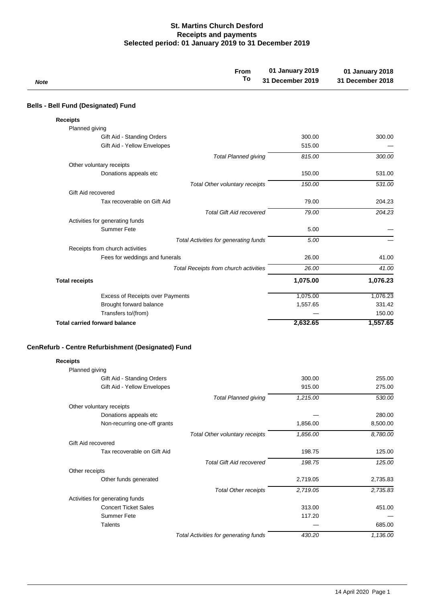## **St. Martins Church Desford Receipts and payments Selected period: 01 January 2019 to 31 December 2019**

| <b>Note</b>                                        | From<br>To                                   | 01 January 2019<br>31 December 2019 | 01 January 2018<br>31 December 2018 |
|----------------------------------------------------|----------------------------------------------|-------------------------------------|-------------------------------------|
| <b>Bells - Bell Fund (Designated) Fund</b>         |                                              |                                     |                                     |
| <b>Receipts</b>                                    |                                              |                                     |                                     |
| Planned giving                                     |                                              |                                     |                                     |
| Gift Aid - Standing Orders                         |                                              | 300.00                              | 300.00                              |
| Gift Aid - Yellow Envelopes                        |                                              | 515.00                              |                                     |
|                                                    | <b>Total Planned giving</b>                  | 815.00                              | 300.00                              |
| Other voluntary receipts                           |                                              |                                     |                                     |
| Donations appeals etc                              |                                              | 150.00                              | 531.00                              |
|                                                    | Total Other voluntary receipts               | 150.00                              | 531.00                              |
| Gift Aid recovered                                 |                                              |                                     |                                     |
| Tax recoverable on Gift Aid                        |                                              | 79.00                               | 204.23                              |
|                                                    | <b>Total Gift Aid recovered</b>              | 79.00                               | 204.23                              |
| Activities for generating funds                    |                                              |                                     |                                     |
| Summer Fete                                        |                                              | 5.00                                |                                     |
|                                                    | <b>Total Activities for generating funds</b> | 5.00                                |                                     |
| Receipts from church activities                    |                                              |                                     |                                     |
| Fees for weddings and funerals                     |                                              | 26.00                               | 41.00                               |
|                                                    | Total Receipts from church activities        | 26.00                               | 41.00                               |
|                                                    |                                              |                                     |                                     |
| <b>Total receipts</b>                              |                                              | 1,075.00                            | 1,076.23                            |
| Excess of Receipts over Payments                   |                                              | 1,075.00                            | 1,076.23                            |
| Brought forward balance                            |                                              | 1,557.65                            | 331.42                              |
| Transfers to/(from)                                |                                              |                                     | 150.00                              |
| <b>Total carried forward balance</b>               |                                              | 2,632.65                            | 1,557.65                            |
|                                                    |                                              |                                     |                                     |
| CenRefurb - Centre Refurbishment (Designated) Fund |                                              |                                     |                                     |
| <b>Receipts</b>                                    |                                              |                                     |                                     |
| Planned giving                                     |                                              |                                     |                                     |
| Gift Aid - Standing Orders                         |                                              | 300.00                              | 255.00                              |
| Gift Aid - Yellow Envelopes                        |                                              | 915.00                              | 275.00                              |
|                                                    | <b>Total Planned giving</b>                  | 1,215.00                            | 530.00                              |
| Other voluntary receipts                           |                                              |                                     |                                     |
| Donations appeals etc                              |                                              |                                     | 280.00                              |
| Non-recurring one-off grants                       |                                              | 1,856.00                            | 8,500.00                            |
|                                                    | Total Other voluntary receipts               | 1,856.00                            | 8,780.00                            |
| Gift Aid recovered                                 |                                              |                                     |                                     |
| Tax recoverable on Gift Aid                        |                                              | 198.75                              | 125.00                              |
|                                                    | <b>Total Gift Aid recovered</b>              | 198.75                              | 125.00                              |
| Other receipts                                     |                                              |                                     |                                     |
| Other funds generated                              |                                              | 2,719.05                            | 2,735.83                            |
|                                                    | <b>Total Other receipts</b>                  | 2,719.05                            | 2,735.83                            |
| Activities for generating funds                    |                                              |                                     |                                     |
| <b>Concert Ticket Sales</b>                        |                                              | 313.00                              | 451.00                              |
| Summer Fete                                        |                                              | 117.20                              |                                     |
| Talents                                            |                                              |                                     | 685.00                              |
|                                                    | <b>Total Activities for generating funds</b> | 430.20                              | 1,136.00                            |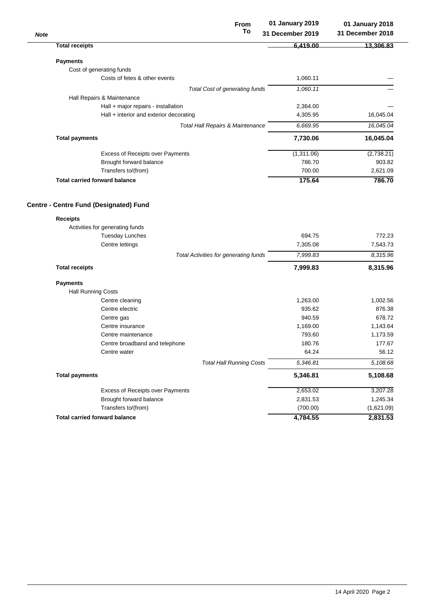| <b>Note</b>                                                                                     | From<br>To                                  | 01 January 2019<br>31 December 2019 | 01 January 2018<br>31 December 2018 |
|-------------------------------------------------------------------------------------------------|---------------------------------------------|-------------------------------------|-------------------------------------|
| <b>Total receipts</b>                                                                           |                                             | 6,419.00                            | 13,306.83                           |
| <b>Payments</b>                                                                                 |                                             |                                     |                                     |
| Cost of generating funds                                                                        |                                             |                                     |                                     |
| Costs of fetes & other events                                                                   |                                             | 1,060.11                            |                                     |
|                                                                                                 | Total Cost of generating funds              | 1,060.11                            |                                     |
| Hall Repairs & Maintenance                                                                      |                                             |                                     |                                     |
| Hall + major repairs - installation                                                             |                                             | 2,364.00                            |                                     |
| Hall $+$ interior and exterior decorating                                                       |                                             | 4,305.95                            | 16,045.04                           |
|                                                                                                 | <b>Total Hall Repairs &amp; Maintenance</b> | 6,669.95                            | 16,045.04                           |
| <b>Total payments</b>                                                                           |                                             | 7,730.06                            | 16,045.04                           |
| Excess of Receipts over Payments                                                                |                                             | (1,311.06)                          | (2,738.21)                          |
| Brought forward balance                                                                         |                                             | 786.70                              | 903.82                              |
| Transfers to/(from)                                                                             |                                             | 700.00                              | 2,621.09                            |
| <b>Total carried forward balance</b>                                                            |                                             | 175.64                              | 786.70                              |
| <b>Receipts</b><br>Activities for generating funds<br><b>Tuesday Lunches</b><br>Centre lettings |                                             | 694.75<br>7,305.08                  | 772.23<br>7,543.73                  |
|                                                                                                 | Total Activities for generating funds       | 7,999.83                            | 8,315.96                            |
| <b>Total receipts</b>                                                                           |                                             | 7,999.83                            | 8,315.96                            |
| <b>Payments</b>                                                                                 |                                             |                                     |                                     |
| <b>Hall Running Costs</b>                                                                       |                                             |                                     |                                     |
| Centre cleaning                                                                                 |                                             | 1,263.00                            | 1,002.56                            |
| Centre electric                                                                                 |                                             | 935.62                              | 876.38                              |
| Centre gas                                                                                      |                                             | 940.59                              | 678.72                              |
| Centre insurance                                                                                |                                             | 1,169.00                            | 1,143.64                            |
| Centre maintenance                                                                              |                                             | 793.60                              | 1,173.59                            |
| Centre broadband and telephone                                                                  |                                             | 180.76                              | 177.67                              |
| Centre water                                                                                    |                                             | 64.24                               | 56.12                               |
|                                                                                                 | <b>Total Hall Running Costs</b>             | 5,346.81                            | 5,108.68                            |
| <b>Total payments</b>                                                                           |                                             | 5,346.81                            | 5,108.68                            |
| Excess of Receipts over Payments                                                                |                                             | 2,653.02                            | 3,207.28                            |
| Brought forward balance                                                                         |                                             | 2,831.53                            | 1,245.34                            |
| Transfers to/(from)                                                                             |                                             | (700.00)                            | (1,621.09)                          |
| <b>Total carried forward balance</b>                                                            |                                             | 4,784.55                            | 2,831.53                            |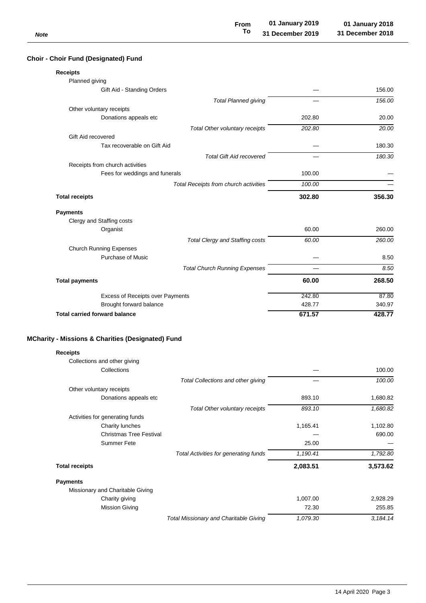| Choir - Choir Fund (Designated) Fund                         |        |        |
|--------------------------------------------------------------|--------|--------|
| <b>Receipts</b>                                              |        |        |
| Planned giving                                               |        |        |
| Gift Aid - Standing Orders                                   |        | 156.00 |
| <b>Total Planned giving</b>                                  |        | 156.00 |
| Other voluntary receipts                                     |        |        |
| Donations appeals etc                                        | 202.80 | 20.00  |
| Total Other voluntary receipts                               | 202.80 | 20.00  |
| Gift Aid recovered                                           |        |        |
| Tax recoverable on Gift Aid                                  |        | 180.30 |
| <b>Total Gift Aid recovered</b>                              |        | 180.30 |
| Receipts from church activities                              |        |        |
| Fees for weddings and funerals                               | 100.00 |        |
| Total Receipts from church activities                        | 100.00 |        |
| <b>Total receipts</b>                                        | 302.80 | 356.30 |
| <b>Payments</b>                                              |        |        |
| Clergy and Staffing costs                                    |        |        |
| Organist                                                     | 60.00  | 260.00 |
| <b>Total Clergy and Staffing costs</b>                       | 60.00  | 260.00 |
| <b>Church Running Expenses</b>                               |        |        |
| <b>Purchase of Music</b>                                     |        | 8.50   |
| <b>Total Church Running Expenses</b>                         |        | 8.50   |
| <b>Total payments</b>                                        | 60.00  | 268.50 |
| Excess of Receipts over Payments                             | 242.80 | 87.80  |
| Brought forward balance                                      | 428.77 | 340.97 |
| <b>Total carried forward balance</b>                         | 671.57 | 428.77 |
|                                                              |        |        |
| <b>MCharity - Missions &amp; Charities (Designated) Fund</b> |        |        |
|                                                              |        |        |
| <b>Receipts</b>                                              |        |        |

| Collections and other giving     |                                               |          |          |
|----------------------------------|-----------------------------------------------|----------|----------|
| Collections                      |                                               |          | 100.00   |
|                                  | Total Collections and other giving            |          | 100.00   |
| Other voluntary receipts         |                                               |          |          |
| Donations appeals etc            |                                               | 893.10   | 1,680.82 |
|                                  | Total Other voluntary receipts                | 893.10   | 1,680.82 |
| Activities for generating funds  |                                               |          |          |
| Charity lunches                  |                                               | 1,165.41 | 1,102.80 |
| <b>Christmas Tree Festival</b>   |                                               |          | 690.00   |
| Summer Fete                      |                                               | 25.00    |          |
|                                  | Total Activities for generating funds         | 1,190.41 | 1,792.80 |
| <b>Total receipts</b>            |                                               | 2,083.51 | 3,573.62 |
| <b>Payments</b>                  |                                               |          |          |
| Missionary and Charitable Giving |                                               |          |          |
| Charity giving                   |                                               | 1,007.00 | 2,928.29 |
| <b>Mission Giving</b>            |                                               | 72.30    | 255.85   |
|                                  | <b>Total Missionary and Charitable Giving</b> | 1,079.30 | 3,184.14 |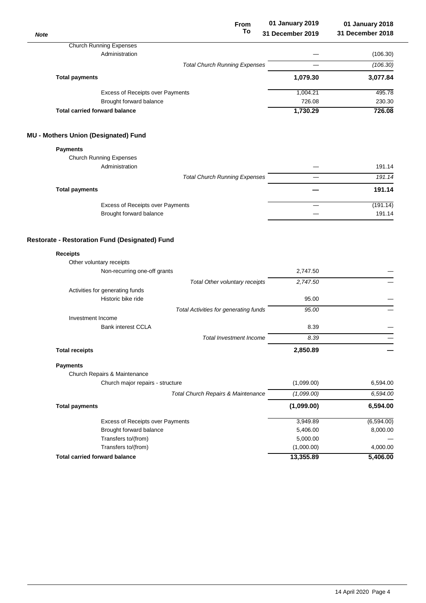| <b>Note</b>                                                 | <b>From</b><br>To       | 01 January 2019<br>31 December 2019 | 01 January 2018<br>31 December 2018 |
|-------------------------------------------------------------|-------------------------|-------------------------------------|-------------------------------------|
| <b>Church Running Expenses</b>                              |                         |                                     |                                     |
| Administration                                              |                         |                                     | (106.30)                            |
| <b>Total Church Running Expenses</b>                        |                         |                                     | (106.30)                            |
| <b>Total payments</b>                                       |                         | 1,079.30                            | 3,077.84                            |
| Excess of Receipts over Payments                            |                         | 1,004.21                            | 495.78                              |
| Brought forward balance                                     |                         | 726.08                              | 230.30                              |
| <b>Total carried forward balance</b>                        |                         | 1,730.29                            | 726.08                              |
| <b>MU - Mothers Union (Designated) Fund</b>                 |                         |                                     |                                     |
| <b>Payments</b>                                             |                         |                                     |                                     |
| <b>Church Running Expenses</b>                              |                         |                                     |                                     |
| Administration                                              |                         |                                     | 191.14                              |
| <b>Total Church Running Expenses</b>                        |                         |                                     | 191.14                              |
| <b>Total payments</b>                                       |                         |                                     | 191.14                              |
|                                                             |                         |                                     | (191.14)                            |
| Excess of Receipts over Payments<br>Brought forward balance |                         |                                     | 191.14                              |
| Other voluntary receipts<br>Non-recurring one-off grants    |                         | 2,747.50                            |                                     |
| Total Other voluntary receipts                              |                         | 2,747.50                            |                                     |
| Activities for generating funds                             |                         |                                     |                                     |
| Historic bike ride                                          |                         | 95.00                               |                                     |
| Total Activities for generating funds                       |                         | 95.00                               |                                     |
| Investment Income                                           |                         |                                     |                                     |
| <b>Bank interest CCLA</b>                                   |                         | 8.39                                |                                     |
|                                                             | Total Investment Income | 8.39                                |                                     |
| <b>Total receipts</b>                                       |                         | 2,850.89                            |                                     |
| <b>Payments</b>                                             |                         |                                     |                                     |
| Church Repairs & Maintenance                                |                         |                                     |                                     |
| Church major repairs - structure                            |                         | (1,099.00)                          | 6,594.00                            |
| Total Church Repairs & Maintenance                          |                         | (1,099.00)                          | 6,594.00                            |
| <b>Total payments</b>                                       |                         | (1,099.00)                          | 6,594.00                            |
| Excess of Receipts over Payments                            |                         | 3,949.89                            | (6, 594.00)                         |
| Brought forward balance                                     |                         | 5,406.00                            | 8,000.00                            |
| Transfers to/(from)                                         |                         | 5,000.00                            |                                     |
| Transfers to/(from)                                         |                         | (1,000.00)                          | 4,000.00                            |
| <b>Total carried forward balance</b>                        |                         | 13,355.89                           | 5,406.00                            |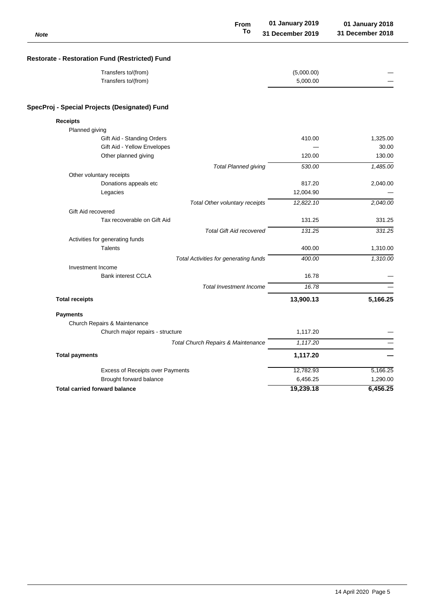| <b>Note</b>                                           | <b>From</b><br>To               | 01 January 2019<br>31 December 2019 | 01 January 2018<br>31 December 2018 |
|-------------------------------------------------------|---------------------------------|-------------------------------------|-------------------------------------|
| <b>Restorate - Restoration Fund (Restricted) Fund</b> |                                 |                                     |                                     |
| Transfers to/(from)                                   |                                 | (5,000.00)                          |                                     |
| Transfers to/(from)                                   |                                 | 5,000.00                            |                                     |
| SpecProj - Special Projects (Designated) Fund         |                                 |                                     |                                     |
| <b>Receipts</b>                                       |                                 |                                     |                                     |
| Planned giving                                        |                                 |                                     |                                     |
| Gift Aid - Standing Orders                            |                                 | 410.00                              | 1,325.00                            |
| Gift Aid - Yellow Envelopes                           |                                 |                                     | 30.00                               |
| Other planned giving                                  |                                 | 120.00                              | 130.00                              |
|                                                       | <b>Total Planned giving</b>     | 530.00                              | 1,485.00                            |
| Other voluntary receipts                              |                                 |                                     |                                     |
| Donations appeals etc                                 |                                 | 817.20                              | 2,040.00                            |
| Legacies                                              |                                 | 12,004.90                           |                                     |
|                                                       | Total Other voluntary receipts  | 12,822.10                           | 2,040.00                            |
| Gift Aid recovered                                    |                                 |                                     |                                     |
| Tax recoverable on Gift Aid                           |                                 | 131.25                              | 331.25                              |
|                                                       | <b>Total Gift Aid recovered</b> | 131.25                              | 331.25                              |
| Activities for generating funds                       |                                 |                                     |                                     |
| <b>Talents</b>                                        |                                 | 400.00                              | 1,310.00                            |
| <b>Total Activities for generating funds</b>          |                                 | 400.00                              | 1,310.00                            |
| Investment Income                                     |                                 |                                     |                                     |
| <b>Bank interest CCLA</b>                             |                                 | 16.78                               |                                     |
|                                                       | <b>Total Investment Income</b>  | 16.78                               |                                     |
| <b>Total receipts</b>                                 |                                 | 13,900.13                           | 5,166.25                            |
| <b>Payments</b>                                       |                                 |                                     |                                     |
| Church Repairs & Maintenance                          |                                 |                                     |                                     |
| Church major repairs - structure                      |                                 | 1,117.20                            |                                     |
| Total Church Repairs & Maintenance                    |                                 | 1,117.20                            |                                     |
| <b>Total payments</b>                                 |                                 | 1,117.20                            |                                     |
| Excess of Receipts over Payments                      |                                 | 12,782.93                           | 5,166.25                            |
| Brought forward balance                               |                                 | 6,456.25                            | 1,290.00                            |
| <b>Total carried forward balance</b>                  |                                 | 19,239.18                           | 6,456.25                            |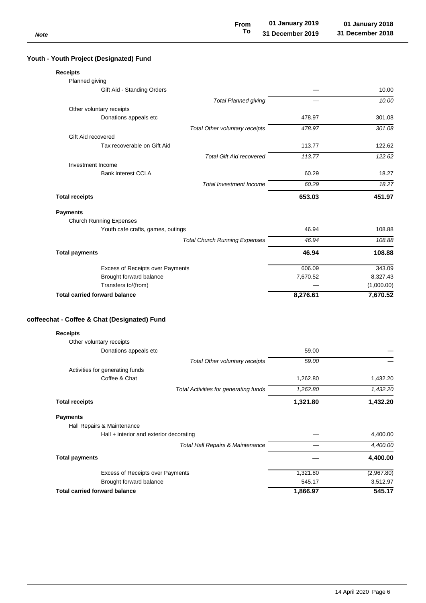| IVULG                                             |          |            |
|---------------------------------------------------|----------|------------|
|                                                   |          |            |
| Youth - Youth Project (Designated) Fund           |          |            |
| <b>Receipts</b>                                   |          |            |
| Planned giving                                    |          |            |
| Gift Aid - Standing Orders                        |          | 10.00      |
| <b>Total Planned giving</b>                       |          | 10.00      |
| Other voluntary receipts                          |          |            |
| Donations appeals etc                             | 478.97   | 301.08     |
| Total Other voluntary receipts                    | 478.97   | 301.08     |
| Gift Aid recovered<br>Tax recoverable on Gift Aid | 113.77   | 122.62     |
|                                                   |          |            |
| <b>Total Gift Aid recovered</b>                   | 113.77   | 122.62     |
| Investment Income<br><b>Bank interest CCLA</b>    | 60.29    | 18.27      |
|                                                   |          |            |
| <b>Total Investment Income</b>                    | 60.29    | 18.27      |
| <b>Total receipts</b>                             | 653.03   | 451.97     |
| <b>Payments</b>                                   |          |            |
| <b>Church Running Expenses</b>                    |          |            |
| Youth cafe crafts, games, outings                 | 46.94    | 108.88     |
| <b>Total Church Running Expenses</b>              | 46.94    | 108.88     |
| <b>Total payments</b>                             | 46.94    | 108.88     |
| Excess of Receipts over Payments                  | 606.09   | 343.09     |
| Brought forward balance                           | 7,670.52 | 8,327.43   |
| Transfers to/(from)                               |          | (1,000.00) |
| <b>Total carried forward balance</b>              | 8,276.61 | 7,670.52   |
| coffeechat - Coffee & Chat (Designated) Fund      |          |            |
| <b>Receipts</b>                                   |          |            |
| Other voluntary receipts                          |          |            |
| Donations appeals etc                             | 59.00    |            |
| Total Other voluntary receipts                    | 59.00    |            |
| Activities for generating funds                   |          |            |
| Coffee & Chat                                     | 1,262.80 | 1,432.20   |
| <b>Total Activities for generating funds</b>      | 1,262.80 | 1,432.20   |
| <b>Total receipts</b>                             | 1,321.80 | 1,432.20   |
| <b>Payments</b>                                   |          |            |
| Hall Repairs & Maintenance                        |          |            |
| $Hall + interior$ and exterior decorating         |          | 4,400.00   |
| <b>Total Hall Repairs &amp; Maintenance</b>       |          | 4,400.00   |
| <b>Total payments</b>                             |          | 4,400.00   |
|                                                   |          |            |
| Excess of Receipts over Payments                  | 1,321.80 | (2,967.80) |
| Brought forward balance                           | 545.17   | 3,512.97   |
| <b>Total carried forward balance</b>              | 1,866.97 | 545.17     |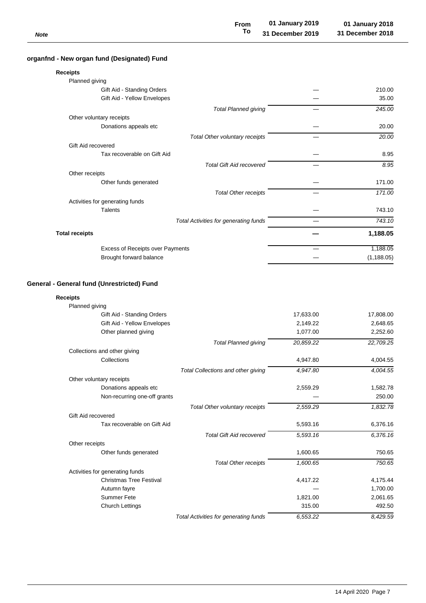| <b>Note</b>                                 | <b>From</b><br>To | 01 January 2019<br>31 December 2019 | 01 January 2018<br>31 December 2018 |
|---------------------------------------------|-------------------|-------------------------------------|-------------------------------------|
| organfnd - New organ fund (Designated) Fund |                   |                                     |                                     |
| <b>Receipts</b>                             |                   |                                     |                                     |
| Planned giving                              |                   |                                     |                                     |

| Planned giving        |                                         |                                       |             |
|-----------------------|-----------------------------------------|---------------------------------------|-------------|
|                       | Gift Aid - Standing Orders              |                                       | 210.00      |
|                       | Gift Aid - Yellow Envelopes             |                                       | 35.00       |
|                       |                                         | <b>Total Planned giving</b>           | 245.00      |
|                       | Other voluntary receipts                |                                       |             |
|                       | Donations appeals etc                   |                                       | 20.00       |
|                       |                                         | Total Other voluntary receipts        | 20.00       |
| Gift Aid recovered    |                                         |                                       |             |
|                       | Tax recoverable on Gift Aid             |                                       | 8.95        |
|                       |                                         | <b>Total Gift Aid recovered</b>       | 8.95        |
| Other receipts        |                                         |                                       |             |
|                       | Other funds generated                   |                                       | 171.00      |
|                       |                                         | <b>Total Other receipts</b>           | 171.00      |
|                       | Activities for generating funds         |                                       |             |
|                       | <b>Talents</b>                          |                                       | 743.10      |
|                       |                                         | Total Activities for generating funds | 743.10      |
| <b>Total receipts</b> |                                         |                                       | 1,188.05    |
|                       | <b>Excess of Receipts over Payments</b> |                                       | 1,188.05    |
|                       | Brought forward balance                 |                                       | (1, 188.05) |
|                       |                                         |                                       |             |

## **General - General fund (Unrestricted) Fund**

## **Receipts**

| Planned giving                  |                                       |           |           |
|---------------------------------|---------------------------------------|-----------|-----------|
| Gift Aid - Standing Orders      |                                       | 17,633.00 | 17,808.00 |
| Gift Aid - Yellow Envelopes     |                                       | 2,149.22  | 2,648.65  |
| Other planned giving            |                                       | 1,077.00  | 2,252.60  |
|                                 | <b>Total Planned giving</b>           | 20,859.22 | 22,709.25 |
| Collections and other giving    |                                       |           |           |
| Collections                     |                                       | 4,947.80  | 4,004.55  |
|                                 | Total Collections and other giving    | 4,947.80  | 4,004.55  |
| Other voluntary receipts        |                                       |           |           |
| Donations appeals etc           |                                       | 2,559.29  | 1,582.78  |
| Non-recurring one-off grants    |                                       |           | 250.00    |
|                                 | Total Other voluntary receipts        | 2,559.29  | 1,832.78  |
| Gift Aid recovered              |                                       |           |           |
| Tax recoverable on Gift Aid     |                                       | 5,593.16  | 6,376.16  |
|                                 | <b>Total Gift Aid recovered</b>       | 5,593.16  | 6,376.16  |
| Other receipts                  |                                       |           |           |
| Other funds generated           |                                       | 1,600.65  | 750.65    |
|                                 | <b>Total Other receipts</b>           | 1,600.65  | 750.65    |
| Activities for generating funds |                                       |           |           |
| <b>Christmas Tree Festival</b>  |                                       | 4,417.22  | 4,175.44  |
| Autumn fayre                    |                                       |           | 1,700.00  |
| Summer Fete                     |                                       | 1,821.00  | 2,061.65  |
| <b>Church Lettings</b>          |                                       | 315.00    | 492.50    |
|                                 | Total Activities for generating funds | 6,553.22  | 8,429.59  |